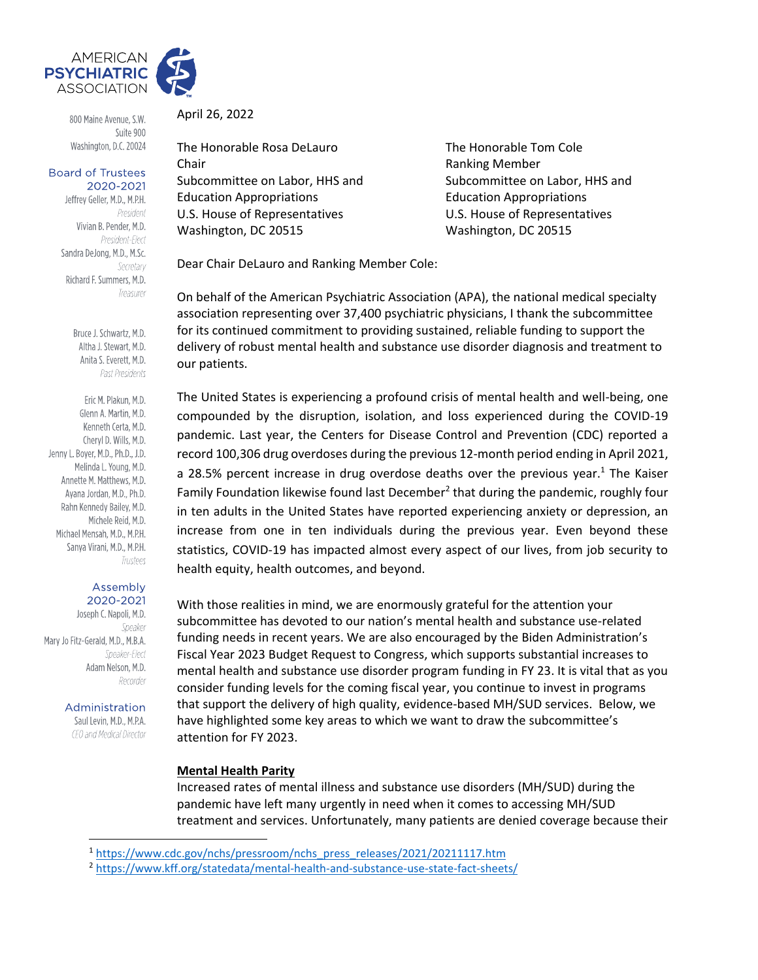

800 Maine Avenue, S.W. Suite 900 Washington, D.C. 20024

#### **Board of Trustees** 2020-2021

Jeffrey Geller, M.D., M.P.H. President Vivian B. Pender, M.D. President-Elect Sandra DeJong, M.D., M.Sc. Secretary Richard F. Summers, M.D. Treasurer

> Bruce J. Schwartz, M.D. Altha J. Stewart, M.D. Anita S. Everett, M.D. Past Presidents

Eric M. Plakun, M.D. Glenn A. Martin, M.D. Kenneth Certa, M.D. Cheryl D. Wills, M.D. Jenny L. Boyer, M.D., Ph.D., J.D. Melinda L. Young, M.D. Annette M. Matthews, M.D. Avana Jordan, M.D., Ph.D. Rahn Kennedy Bailey, M.D. Michele Reid, M.D. Michael Mensah, M.D., M.P.H. Sanya Virani, M.D., M.P.H. Trustees

#### Assembly 2020-2021

Joseph C. Napoli, M.D. Speaker Mary Jo Fitz-Gerald, M.D., M.B.A. Speaker-Flect Adam Nelson, M.D. Recorder

> Administration Saul Levin, M.D., M.P.A. CEO and Medical Director

April 26, 2022

The Honorable Rosa DeLauro The Honorable Tom Cole Chair **Chair** Chair **Ranking Member** Subcommittee on Labor, HHS and Subcommittee on Labor, HHS and Education Appropriations Education Appropriations U.S. House of Representatives U.S. House of Representatives Washington, DC 20515 Washington, DC 20515

Dear Chair DeLauro and Ranking Member Cole:

On behalf of the American Psychiatric Association (APA), the national medical specialty association representing over 37,400 psychiatric physicians, I thank the subcommittee for its continued commitment to providing sustained, reliable funding to support the delivery of robust mental health and substance use disorder diagnosis and treatment to our patients.

The United States is experiencing a profound crisis of mental health and well-being, one compounded by the disruption, isolation, and loss experienced during the COVID-19 pandemic. Last year, the Centers for Disease Control and Prevention (CDC) reported a record 100,306 drug overdoses during the previous 12-month period ending in April 2021, a 28.5% percent increase in drug overdose deaths over the previous year.<sup>1</sup> The Kaiser Family Foundation likewise found last December<sup>2</sup> that during the pandemic, roughly four in ten adults in the United States have reported experiencing anxiety or depression, an increase from one in ten individuals during the previous year. Even beyond these statistics, COVID-19 has impacted almost every aspect of our lives, from job security to health equity, health outcomes, and beyond.

With those realities in mind, we are enormously grateful for the attention your subcommittee has devoted to our nation's mental health and substance use-related funding needs in recent years. We are also encouraged by the Biden Administration's Fiscal Year 2023 Budget Request to Congress, which supports substantial increases to mental health and substance use disorder program funding in FY 23. It is vital that as you consider funding levels for the coming fiscal year, you continue to invest in programs that support the delivery of high quality, evidence-based MH/SUD services. Below, we have highlighted some key areas to which we want to draw the subcommittee's attention for FY 2023.

# **Mental Health Parity**

Increased rates of mental illness and substance use disorders (MH/SUD) during the pandemic have left many urgently in need when it comes to accessing MH/SUD treatment and services. Unfortunately, many patients are denied coverage because their

<sup>1</sup> [https://www.cdc.gov/nchs/pressroom/nchs\\_press\\_releases/2021/20211117.htm](https://www.cdc.gov/nchs/pressroom/nchs_press_releases/2021/20211117.htm)

<sup>2</sup> <https://www.kff.org/statedata/mental-health-and-substance-use-state-fact-sheets/>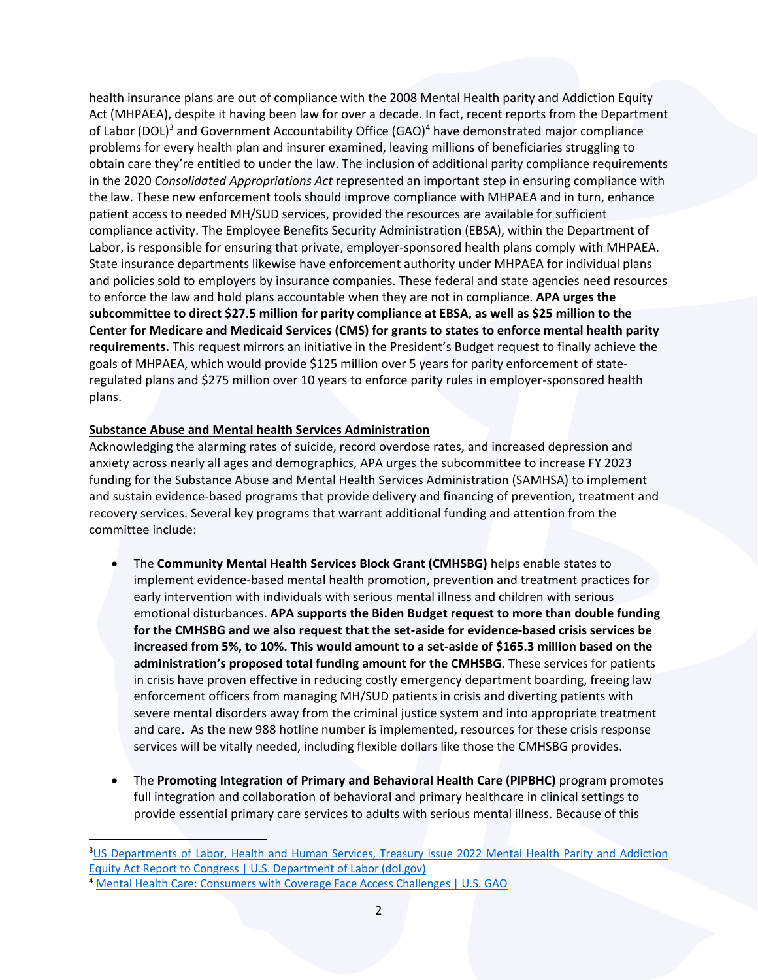health insurance plans are out of compliance with the 2008 Mental Health parity and Addiction Equity Act (MHPAEA), despite it having been law for over a decade. In fact, recent reports from the Department of Labor (DOL)<sup>3</sup> and Government Accountability Office (GAO)<sup>4</sup> have demonstrated major compliance problems for every health plan and insurer examined, leaving millions of beneficiaries struggling to obtain care they're entitled to under the law. The inclusion of additional parity compliance requirements in the 2020 *Consolidated Appropriations Act* represented an important step in ensuring compliance with the law. These new enforcement tools should improve compliance with MHPAEA and in turn, enhance patient access to needed MH/SUD services, provided the resources are available for sufficient compliance activity. The Employee Benefits Security Administration (EBSA), within the Department of Labor, is responsible for ensuring that private, employer-sponsored health plans comply with MHPAEA. State insurance departments likewise have enforcement authority under MHPAEA for individual plans and policies sold to employers by insurance companies. These federal and state agencies need resources to enforce the law and hold plans accountable when they are not in compliance. **APA urges the subcommittee to direct \$27.5 million for parity compliance at EBSA, as well as \$25 million to the Center for Medicare and Medicaid Services (CMS) for grants to states to enforce mental health parity requirements.** This request mirrors an initiative in the President's Budget request to finally achieve the goals of MHPAEA, which would provide \$125 million over 5 years for parity enforcement of stateregulated plans and \$275 million over 10 years to enforce parity rules in employer-sponsored health plans.

## **Substance Abuse and Mental health Services Administration**

Acknowledging the alarming rates of suicide, record overdose rates, and increased depression and anxiety across nearly all ages and demographics, APA urges the subcommittee to increase FY 2023 funding for the Substance Abuse and Mental Health Services Administration (SAMHSA) to implement and sustain evidence-based programs that provide delivery and financing of prevention, treatment and recovery services. Several key programs that warrant additional funding and attention from the committee include:

- The **Community Mental Health Services Block Grant (CMHSBG)** helps enable states to implement evidence-based mental health promotion, prevention and treatment practices for early intervention with individuals with serious mental illness and children with serious emotional disturbances. **APA supports the Biden Budget request to more than double funding for the CMHSBG and we also request that the set-aside for evidence-based crisis services be increased from 5%, to 10%. This would amount to a set-aside of \$165.3 million based on the administration's proposed total funding amount for the CMHSBG.** These services for patients in crisis have proven effective in reducing costly emergency department boarding, freeing law enforcement officers from managing MH/SUD patients in crisis and diverting patients with severe mental disorders away from the criminal justice system and into appropriate treatment and care. As the new 988 hotline number is implemented, resources for these crisis response services will be vitally needed, including flexible dollars like those the CMHSBG provides.
- The **Promoting Integration of Primary and Behavioral Health Care (PIPBHC)** program promotes full integration and collaboration of behavioral and primary healthcare in clinical settings to provide essential primary care services to adults with serious mental illness. Because of this

<sup>3</sup>[US Departments of Labor, Health and Human Services, Treasury issue 2022 Mental Health Parity and Addiction](https://www.dol.gov/newsroom/releases/ebsa/ebsa20220125)  [Equity Act Report to Congress | U.S. Department of Labor \(dol.gov\)](https://www.dol.gov/newsroom/releases/ebsa/ebsa20220125)

<sup>&</sup>lt;sup>4</sup> [Mental Health Care: Consumers with Coverage Face Access Challenges | U.S. GAO](https://www.gao.gov/products/gao-22-105912)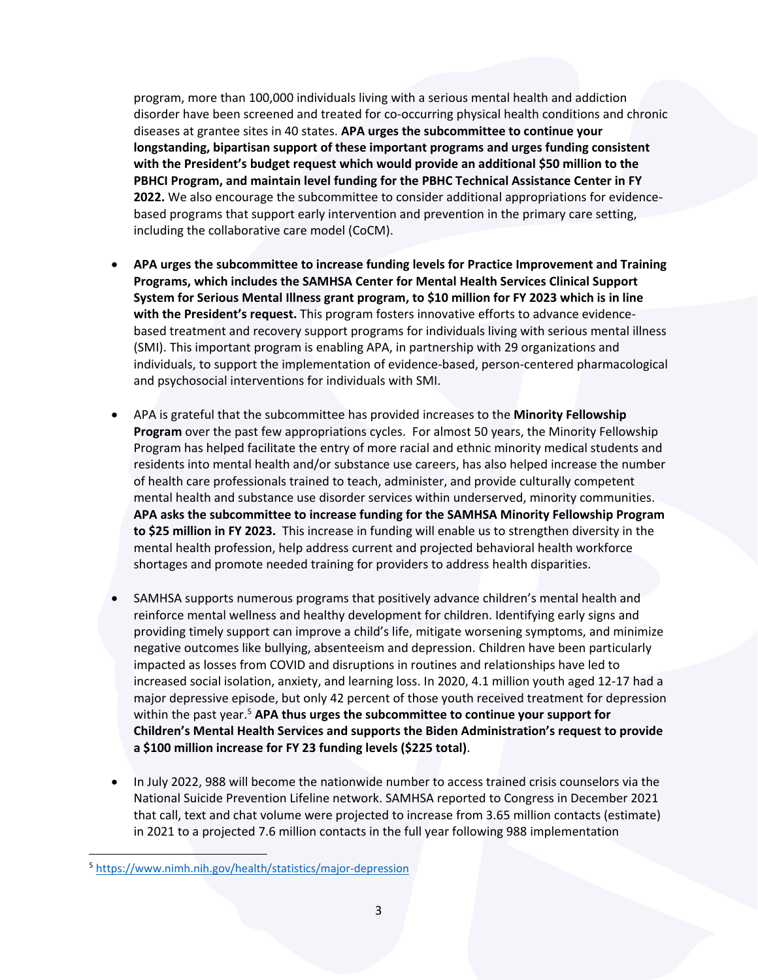program, more than 100,000 individuals living with a serious mental health and addiction disorder have been screened and treated for co-occurring physical health conditions and chronic diseases at grantee sites in 40 states. **APA urges the subcommittee to continue your longstanding, bipartisan support of these important programs and urges funding consistent with the President's budget request which would provide an additional \$50 million to the PBHCI Program, and maintain level funding for the PBHC Technical Assistance Center in FY 2022.** We also encourage the subcommittee to consider additional appropriations for evidencebased programs that support early intervention and prevention in the primary care setting, including the collaborative care model (CoCM).

- **APA urges the subcommittee to increase funding levels for Practice Improvement and Training Programs, which includes the SAMHSA Center for Mental Health Services Clinical Support System for Serious Mental Illness grant program, to \$10 million for FY 2023 which is in line with the President's request.** This program fosters innovative efforts to advance evidencebased treatment and recovery support programs for individuals living with serious mental illness (SMI). This important program is enabling APA, in partnership with 29 organizations and individuals, to support the implementation of evidence-based, person-centered pharmacological and psychosocial interventions for individuals with SMI.
- APA is grateful that the subcommittee has provided increases to the **Minority Fellowship Program** over the past few appropriations cycles. For almost 50 years, the Minority Fellowship Program has helped facilitate the entry of more racial and ethnic minority medical students and residents into mental health and/or substance use careers, has also helped increase the number of health care professionals trained to teach, administer, and provide culturally competent mental health and substance use disorder services within underserved, minority communities. **APA asks the subcommittee to increase funding for the SAMHSA Minority Fellowship Program to \$25 million in FY 2023.** This increase in funding will enable us to strengthen diversity in the mental health profession, help address current and projected behavioral health workforce shortages and promote needed training for providers to address health disparities.
- SAMHSA supports numerous programs that positively advance children's mental health and reinforce mental wellness and healthy development for children. Identifying early signs and providing timely support can improve a child's life, mitigate worsening symptoms, and minimize negative outcomes like bullying, absenteeism and depression. Children have been particularly impacted as losses from COVID and disruptions in routines and relationships have led to increased social isolation, anxiety, and learning loss. In 2020, 4.1 million youth aged 12-17 had a major depressive episode, but only 42 percent of those youth received treatment for depression within the past year. <sup>5</sup> **APA thus urges the subcommittee to continue your support for Children's Mental Health Services and supports the Biden Administration's request to provide a \$100 million increase for FY 23 funding levels (\$225 total)**.
- In July 2022, 988 will become the nationwide number to access trained crisis counselors via the National Suicide Prevention Lifeline network. SAMHSA reported to Congress in December 2021 that call, text and chat volume were projected to increase from 3.65 million contacts (estimate) in 2021 to a projected 7.6 million contacts in the full year following 988 implementation

<sup>5</sup> <https://www.nimh.nih.gov/health/statistics/major-depression>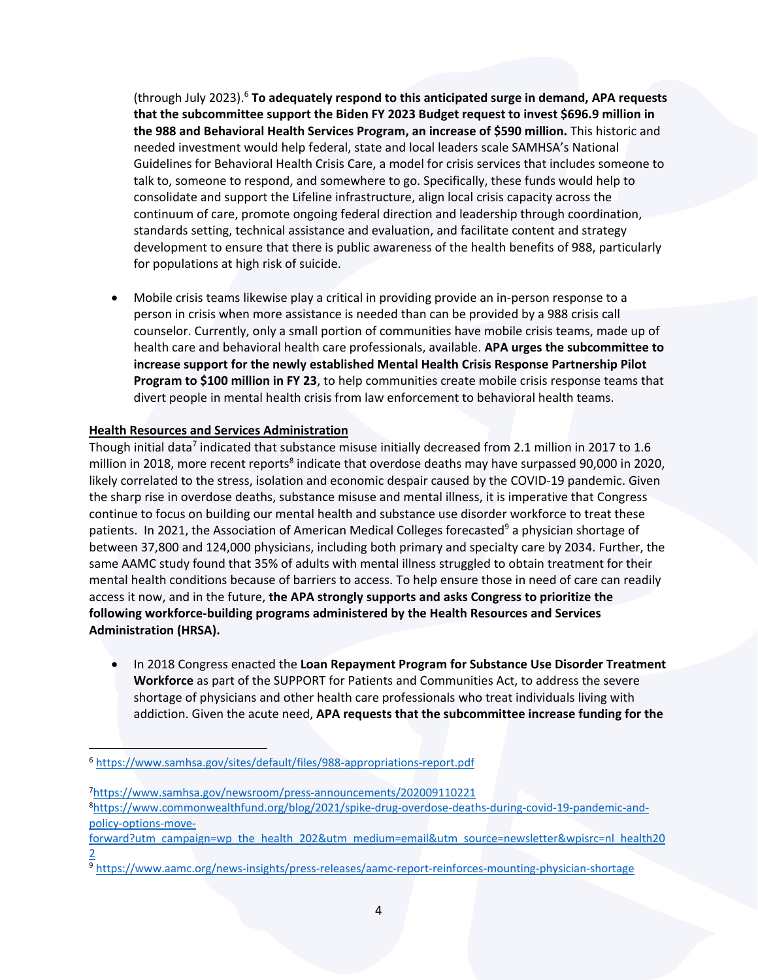(through July 2023).<sup>6</sup> **To adequately respond to this anticipated surge in demand, APA requests that the subcommittee support the Biden FY 2023 Budget request to invest \$696.9 million in the 988 and Behavioral Health Services Program, an increase of \$590 million.** This historic and needed investment would help federal, state and local leaders scale SAMHSA's National Guidelines for Behavioral Health Crisis Care, a model for crisis services that includes someone to talk to, someone to respond, and somewhere to go. Specifically, these funds would help to consolidate and support the Lifeline infrastructure, align local crisis capacity across the continuum of care, promote ongoing federal direction and leadership through coordination, standards setting, technical assistance and evaluation, and facilitate content and strategy development to ensure that there is public awareness of the health benefits of 988, particularly for populations at high risk of suicide.

• Mobile crisis teams likewise play a critical in providing provide an in-person response to a person in crisis when more assistance is needed than can be provided by a 988 crisis call counselor. Currently, only a small portion of communities have mobile crisis teams, made up of health care and behavioral health care professionals, available. **APA urges the subcommittee to increase support for the newly established Mental Health Crisis Response Partnership Pilot Program to \$100 million in FY 23**, to help communities create mobile crisis response teams that divert people in mental health crisis from law enforcement to behavioral health teams.

## **Health Resources and Services Administration**

Though initial data<sup>7</sup> indicated that substance misuse initially decreased from 2.1 million in 2017 to 1.6 million in 2018, more recent reports<sup>8</sup> indicate that overdose deaths may have surpassed 90,000 in 2020, likely correlated to the stress, isolation and economic despair caused by the COVID-19 pandemic. Given the sharp rise in overdose deaths, substance misuse and mental illness, it is imperative that Congress continue to focus on building our mental health and substance use disorder workforce to treat these patients. In 2021, the Association of American Medical Colleges forecasted<sup>9</sup> a physician shortage of between 37,800 and 124,000 physicians, including both primary and specialty care by 2034. Further, the same AAMC study found that 35% of adults with mental illness struggled to obtain treatment for their mental health conditions because of barriers to access. To help ensure those in need of care can readily access it now, and in the future, **the APA strongly supports and asks Congress to prioritize the following workforce-building programs administered by the Health Resources and Services Administration (HRSA).**

• In 2018 Congress enacted the **Loan Repayment Program for Substance Use Disorder Treatment Workforce** as part of the SUPPORT for Patients and Communities Act, to address the severe shortage of physicians and other health care professionals who treat individuals living with addiction. Given the acute need, **APA requests that the subcommittee increase funding for the** 

<sup>6</sup> <https://www.samhsa.gov/sites/default/files/988-appropriations-report.pdf>

<sup>7</sup><https://www.samhsa.gov/newsroom/press-announcements/202009110221> 8[https://www.commonwealthfund.org/blog/2021/spike-drug-overdose-deaths-during-covid-19-pandemic-and](https://www.commonwealthfund.org/blog/2021/spike-drug-overdose-deaths-during-covid-19-pandemic-and-policy-options-move-forward?utm_campaign=wp_the_health_202&utm_medium=email&utm_source=newsletter&wpisrc=nl_health202)[policy-options-move-](https://www.commonwealthfund.org/blog/2021/spike-drug-overdose-deaths-during-covid-19-pandemic-and-policy-options-move-forward?utm_campaign=wp_the_health_202&utm_medium=email&utm_source=newsletter&wpisrc=nl_health202)

[forward?utm\\_campaign=wp\\_the\\_health\\_202&utm\\_medium=email&utm\\_source=newsletter&wpisrc=nl\\_health20](https://www.commonwealthfund.org/blog/2021/spike-drug-overdose-deaths-during-covid-19-pandemic-and-policy-options-move-forward?utm_campaign=wp_the_health_202&utm_medium=email&utm_source=newsletter&wpisrc=nl_health202) [2](https://www.commonwealthfund.org/blog/2021/spike-drug-overdose-deaths-during-covid-19-pandemic-and-policy-options-move-forward?utm_campaign=wp_the_health_202&utm_medium=email&utm_source=newsletter&wpisrc=nl_health202)

<sup>9</sup> <https://www.aamc.org/news-insights/press-releases/aamc-report-reinforces-mounting-physician-shortage>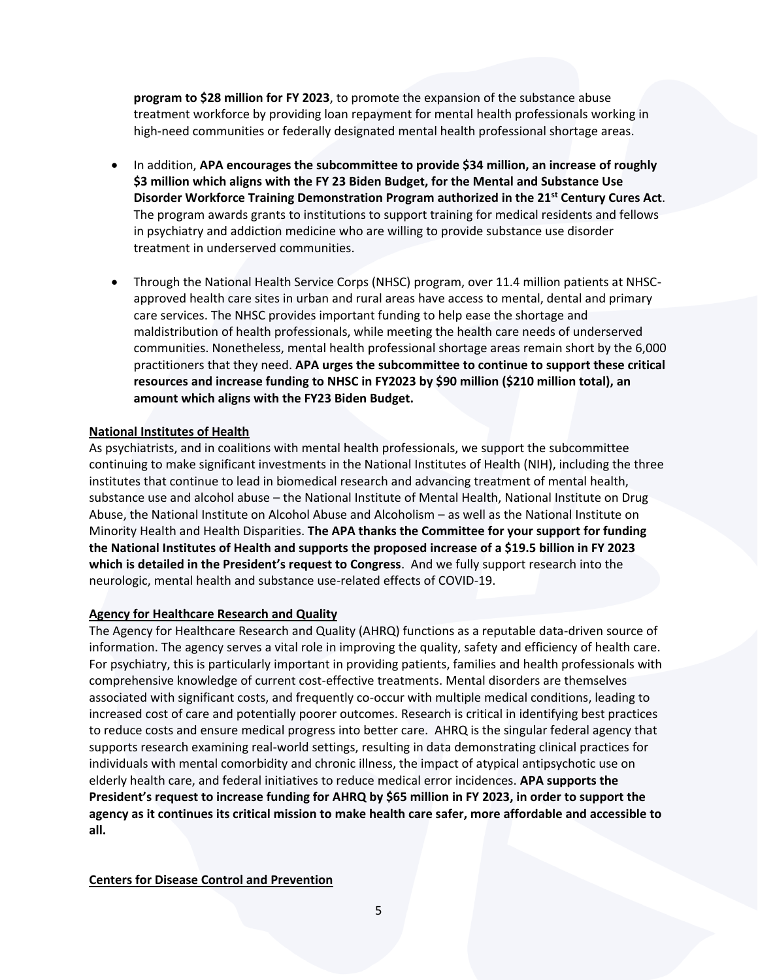**program to \$28 million for FY 2023**, to promote the expansion of the substance abuse treatment workforce by providing loan repayment for mental health professionals working in high-need communities or federally designated mental health professional shortage areas.

- In addition, **APA encourages the subcommittee to provide \$34 million, an increase of roughly \$3 million which aligns with the FY 23 Biden Budget, for the Mental and Substance Use Disorder Workforce Training Demonstration Program authorized in the 21st Century Cures Act**. The program awards grants to institutions to support training for medical residents and fellows in psychiatry and addiction medicine who are willing to provide substance use disorder treatment in underserved communities.
- Through the National Health Service Corps (NHSC) program, over 11.4 million patients at NHSCapproved health care sites in urban and rural areas have access to mental, dental and primary care services. The NHSC provides important funding to help ease the shortage and maldistribution of health professionals, while meeting the health care needs of underserved communities. Nonetheless, mental health professional shortage areas remain short by the 6,000 practitioners that they need. **APA urges the subcommittee to continue to support these critical resources and increase funding to NHSC in FY2023 by \$90 million (\$210 million total), an amount which aligns with the FY23 Biden Budget.**

### **National Institutes of Health**

As psychiatrists, and in coalitions with mental health professionals, we support the subcommittee continuing to make significant investments in the National Institutes of Health (NIH), including the three institutes that continue to lead in biomedical research and advancing treatment of mental health, substance use and alcohol abuse – the National Institute of Mental Health, National Institute on Drug Abuse, the National Institute on Alcohol Abuse and Alcoholism – as well as the National Institute on Minority Health and Health Disparities. **The APA thanks the Committee for your support for funding the National Institutes of Health and supports the proposed increase of a \$19.5 billion in FY 2023 which is detailed in the President's request to Congress**. And we fully support research into the neurologic, mental health and substance use-related effects of COVID-19.

#### **Agency for Healthcare Research and Quality**

The Agency for Healthcare Research and Quality (AHRQ) functions as a reputable data-driven source of information. The agency serves a vital role in improving the quality, safety and efficiency of health care. For psychiatry, this is particularly important in providing patients, families and health professionals with comprehensive knowledge of current cost-effective treatments. Mental disorders are themselves associated with significant costs, and frequently co-occur with multiple medical conditions, leading to increased cost of care and potentially poorer outcomes. Research is critical in identifying best practices to reduce costs and ensure medical progress into better care. AHRQ is the singular federal agency that supports research examining real-world settings, resulting in data demonstrating clinical practices for individuals with mental comorbidity and chronic illness, the impact of atypical antipsychotic use on elderly health care, and federal initiatives to reduce medical error incidences. **APA supports the President's request to increase funding for AHRQ by \$65 million in FY 2023, in order to support the agency as it continues its critical mission to make health care safer, more affordable and accessible to all.** 

#### **Centers for Disease Control and Prevention**